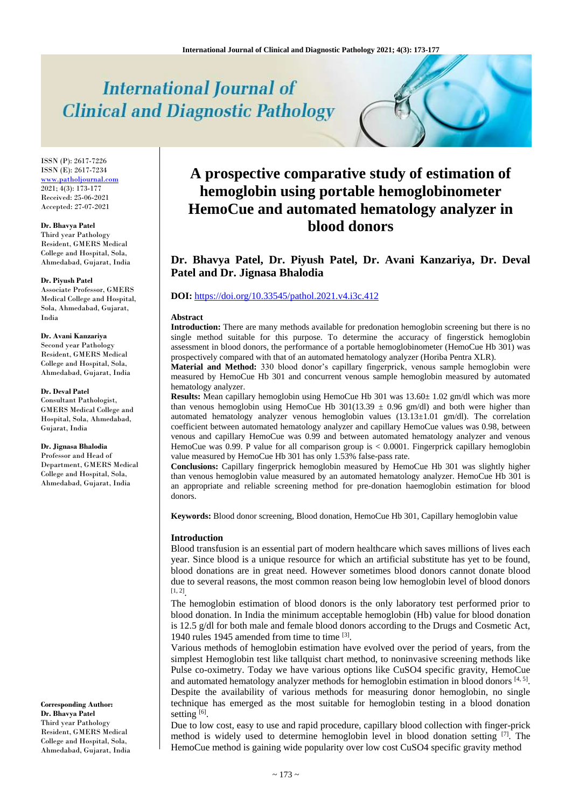# **International Journal of Clinical and Diagnostic Pathology**

ISSN (P): 2617-7226 ISSN (E): 2617-7234 [www.patholjournal.com](http://www.patholjournal.com/)  $2021; 4(3): 173-177$ Received: 25-06-2021 Accepted: 27-07-2021

#### **Dr. Bhavya Patel**

Third year Pathology Resident, GMERS Medical College and Hospital, Sola, Ahmedabad, Gujarat, India

#### **Dr. Piyush Patel**

Associate Professor, GMERS Medical College and Hospital, Sola, Ahmedabad, Gujarat, India

#### **Dr. Avani Kanzariya**

Second year Pathology Resident, GMERS Medical College and Hospital, Sola, Ahmedabad, Gujarat, India

#### **Dr. Deval Patel**

Consultant Pathologist, GMERS Medical College and Hospital, Sola, Ahmedabad, Gujarat, India

#### **Dr. Jignasa Bhalodia**

Professor and Head of Department, GMERS Medical College and Hospital, Sola, Ahmedabad, Gujarat, India

#### **Corresponding Author: Dr. Bhavya Patel** Third year Pathology Resident, GMERS Medical College and Hospital, Sola, Ahmedabad, Gujarat, India

## **A prospective comparative study of estimation of hemoglobin using portable hemoglobinometer HemoCue and automated hematology analyzer in blood donors**

### **Dr. Bhavya Patel, Dr. Piyush Patel, Dr. Avani Kanzariya, Dr. Deval Patel and Dr. Jignasa Bhalodia**

#### **DOI:** <https://doi.org/10.33545/pathol.2021.v4.i3c.412>

#### **Abstract**

**Introduction:** There are many methods available for predonation hemoglobin screening but there is no single method suitable for this purpose. To determine the accuracy of fingerstick hemoglobin assessment in blood donors, the performance of a portable hemoglobinometer (HemoCue Hb 301) was prospectively compared with that of an automated hematology analyzer (Horiba Pentra XLR).

**Material and Method:** 330 blood donor's capillary fingerprick, venous sample hemoglobin were measured by HemoCue Hb 301 and concurrent venous sample hemoglobin measured by automated hematology analyzer.

**Results:** Mean capillary hemoglobin using HemoCue Hb 301 was 13.60 $\pm$  1.02 gm/dl which was more than venous hemoglobin using HemoCue Hb  $301(13.39 \pm 0.96 \text{ gm/dl})$  and both were higher than automated hematology analyzer venous hemoglobin values (13.13±1.01 gm/dl). The correlation coefficient between automated hematology analyzer and capillary HemoCue values was 0.98, between venous and capillary HemoCue was 0.99 and between automated hematology analyzer and venous HemoCue was 0.99. P value for all comparison group is < 0.0001. Fingerprick capillary hemoglobin value measured by HemoCue Hb 301 has only 1.53% false-pass rate.

**Conclusions:** Capillary fingerprick hemoglobin measured by HemoCue Hb 301 was slightly higher than venous hemoglobin value measured by an automated hematology analyzer. HemoCue Hb 301 is an appropriate and reliable screening method for pre-donation haemoglobin estimation for blood donors.

**Keywords:** Blood donor screening, Blood donation, HemoCue Hb 301, Capillary hemoglobin value

#### **Introduction**

Blood transfusion is an essential part of modern healthcare which saves millions of lives each year. Since blood is a unique resource for which an artificial substitute has yet to be found, blood donations are in great need. However sometimes blood donors cannot donate blood due to several reasons, the most common reason being low hemoglobin level of blood donors  $[1, 2]$ <sub>.</sub>

The hemoglobin estimation of blood donors is the only laboratory test performed prior to blood donation. In India the minimum acceptable hemoglobin (Hb) value for blood donation is 12.5 g/dl for both male and female blood donors according to the Drugs and Cosmetic Act, 1940 rules 1945 amended from time to time [3] .

Various methods of hemoglobin estimation have evolved over the period of years, from the simplest Hemoglobin test like tallquist chart method, to noninvasive screening methods like Pulse co-oximetry. Today we have various options like CuSO4 specific gravity, HemoCue and automated hematology analyzer methods for hemoglobin estimation in blood donors  $[4, 5]$ . Despite the availability of various methods for measuring donor hemoglobin, no single technique has emerged as the most suitable for hemoglobin testing in a blood donation setting [6].

Due to low cost, easy to use and rapid procedure, capillary blood collection with finger-prick method is widely used to determine hemoglobin level in blood donation setting <sup>[7]</sup>. The HemoCue method is gaining wide popularity over low cost CuSO4 specific gravity method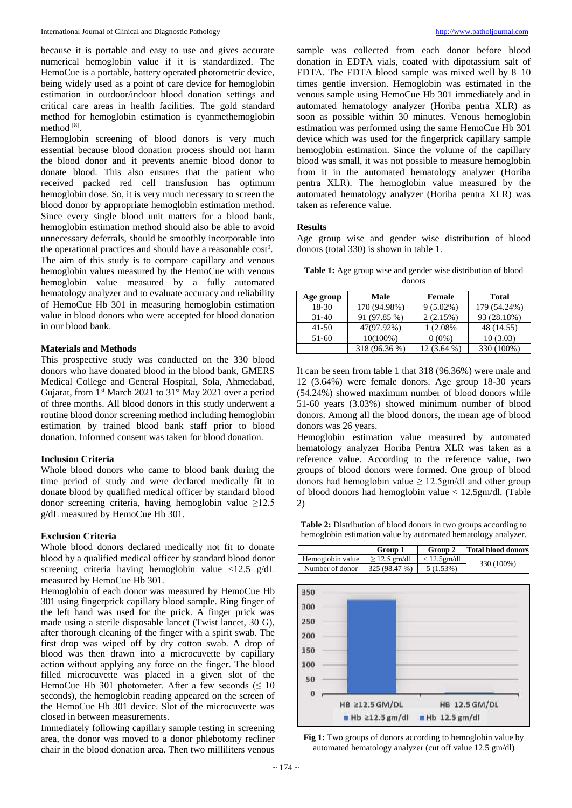because it is portable and easy to use and gives accurate numerical hemoglobin value if it is standardized. The HemoCue is a portable, battery operated photometric device, being widely used as a point of care device for hemoglobin estimation in outdoor/indoor blood donation settings and critical care areas in health facilities. The gold standard method for hemoglobin estimation is cyanmethemoglobin method [8] .

Hemoglobin screening of blood donors is very much essential because blood donation process should not harm the blood donor and it prevents anemic blood donor to donate blood. This also ensures that the patient who received packed red cell transfusion has optimum hemoglobin dose. So, it is very much necessary to screen the blood donor by appropriate hemoglobin estimation method. Since every single blood unit matters for a blood bank, hemoglobin estimation method should also be able to avoid unnecessary deferrals, should be smoothly incorporable into the operational practices and should have a reasonable cost<sup>9</sup>. The aim of this study is to compare capillary and venous hemoglobin values measured by the HemoCue with venous hemoglobin value measured by a fully automated hematology analyzer and to evaluate accuracy and reliability of HemoCue Hb 301 in measuring hemoglobin estimation value in blood donors who were accepted for blood donation in our blood bank.

#### **Materials and Methods**

This prospective study was conducted on the 330 blood donors who have donated blood in the blood bank, GMERS Medical College and General Hospital, Sola, Ahmedabad, Gujarat, from 1<sup>st</sup> March 2021 to 31<sup>st</sup> May 2021 over a period of three months. All blood donors in this study underwent a routine blood donor screening method including hemoglobin estimation by trained blood bank staff prior to blood donation. Informed consent was taken for blood donation.

#### **Inclusion Criteria**

Whole blood donors who came to blood bank during the time period of study and were declared medically fit to donate blood by qualified medical officer by standard blood donor screening criteria, having hemoglobin value  $\geq 12.5$ g/dL measured by HemoCue Hb 301.

#### **Exclusion Criteria**

Whole blood donors declared medically not fit to donate blood by a qualified medical officer by standard blood donor screening criteria having hemoglobin value <12.5 g/dL measured by HemoCue Hb 301.

Hemoglobin of each donor was measured by HemoCue Hb 301 using fingerprick capillary blood sample. Ring finger of the left hand was used for the prick. A finger prick was made using a sterile disposable lancet (Twist lancet, 30 G), after thorough cleaning of the finger with a spirit swab. The first drop was wiped off by dry cotton swab. A drop of blood was then drawn into a microcuvette by capillary action without applying any force on the finger. The blood filled microcuvette was placed in a given slot of the HemoCue Hb 301 photometer. After a few seconds ( $\leq 10$ ) seconds), the hemoglobin reading appeared on the screen of the HemoCue Hb 301 device. Slot of the microcuvette was closed in between measurements.

Immediately following capillary sample testing in screening area, the donor was moved to a donor phlebotomy recliner chair in the blood donation area. Then two milliliters venous

sample was collected from each donor before blood donation in EDTA vials, coated with dipotassium salt of EDTA. The EDTA blood sample was mixed well by 8–10 times gentle inversion. Hemoglobin was estimated in the venous sample using HemoCue Hb 301 immediately and in automated hematology analyzer (Horiba pentra XLR) as soon as possible within 30 minutes. Venous hemoglobin estimation was performed using the same HemoCue Hb 301 device which was used for the fingerprick capillary sample hemoglobin estimation. Since the volume of the capillary blood was small, it was not possible to measure hemoglobin from it in the automated hematology analyzer (Horiba pentra XLR). The hemoglobin value measured by the automated hematology analyzer (Horiba pentra XLR) was taken as reference value.

#### **Results**

Age group wise and gender wise distribution of blood donors (total 330) is shown in table 1.

**Table 1:** Age group wise and gender wise distribution of blood donors

| Age group | Male          | Female      | Total        |
|-----------|---------------|-------------|--------------|
| 18-30     | 170 (94.98%)  | $9(5.02\%)$ | 179 (54.24%) |
| $31-40$   | 91 (97.85 %)  | 2(2.15%)    | 93 (28.18%)  |
| 41-50     | 47(97.92%)    | 1 (2.08%    | 48 (14.55)   |
| 51-60     | 10(100%)      | $0(0\%)$    | 10(3.03)     |
|           | 318 (96.36 %) | 12 (3.64 %) | 330 (100%)   |

It can be seen from table 1 that 318 (96.36%) were male and 12 (3.64%) were female donors. Age group 18-30 years (54.24%) showed maximum number of blood donors while 51-60 years (3.03%) showed minimum number of blood donors. Among all the blood donors, the mean age of blood donors was 26 years.

Hemoglobin estimation value measured by automated hematology analyzer Horiba Pentra XLR was taken as a reference value. According to the reference value, two groups of blood donors were formed. One group of blood donors had hemoglobin value  $\geq 12.5$ gm/dl and other group of blood donors had hemoglobin value < 12.5gm/dl. (Table 2)

**Table 2:** Distribution of blood donors in two groups according to hemoglobin estimation value by automated hematology analyzer.



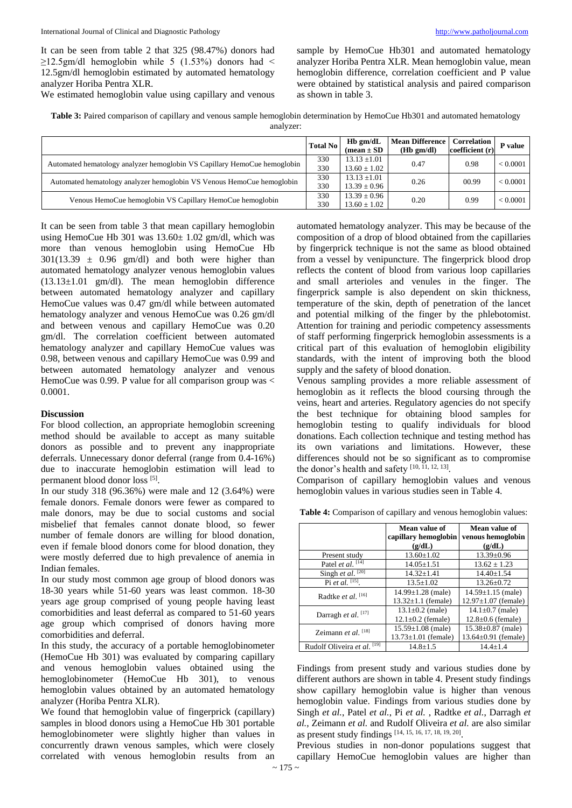It can be seen from table 2 that 325 (98.47%) donors had  $\geq$ 12.5gm/dl hemoglobin while 5 (1.53%) donors had < 12.5gm/dl hemoglobin estimated by automated hematology analyzer Horiba Pentra XLR.

We estimated hemoglobin value using capillary and venous

sample by HemoCue Hb301 and automated hematology analyzer Horiba Pentra XLR. Mean hemoglobin value, mean hemoglobin difference, correlation coefficient and P value were obtained by statistical analysis and paired comparison as shown in table 3.

| Table 3: Paired comparison of capillary and venous sample hemoglobin determination by HemoCue Hb301 and automated hematology |
|------------------------------------------------------------------------------------------------------------------------------|
| analyzer:                                                                                                                    |

|                                                                          | <b>Total No</b> | $Hb$ gm/dL<br>(mean $\pm$ SD | <b>Mean Difference</b><br>$(Hb \text{ gm}/dl)$ | Correlation<br>coefficient (r) | P value  |
|--------------------------------------------------------------------------|-----------------|------------------------------|------------------------------------------------|--------------------------------|----------|
| Automated hematology analyzer hemoglobin VS Capillary HemoCue hemoglobin | 330             | $13.13 \pm 1.01$             | 0.47                                           | 0.98                           | < 0.0001 |
|                                                                          | 330             | $13.60 \pm 1.02$             |                                                |                                |          |
| Automated hematology analyzer hemoglobin VS Venous HemoCue hemoglobin    | 330             | $13.13 \pm 1.01$             | 0.26                                           | 00.99                          | < 0.0001 |
|                                                                          | 330             | $13.39 \pm 0.96$             |                                                |                                |          |
| Venous HemoCue hemoglobin VS Capillary HemoCue hemoglobin                | 330             | $13.39 \pm 0.96$             | 0.20                                           | 0.99                           | < 0.0001 |
|                                                                          | 330             | $13.60 \pm 1.02$             |                                                |                                |          |

It can be seen from table 3 that mean capillary hemoglobin using HemoCue Hb 301 was  $13.60 \pm 1.02$  gm/dl, which was more than venous hemoglobin using HemoCue Hb  $301(13.39 \pm 0.96 \text{ gm/dl})$  and both were higher than automated hematology analyzer venous hemoglobin values  $(13.13\pm1.01 \text{ gm/dl})$ . The mean hemoglobin difference between automated hematology analyzer and capillary HemoCue values was 0.47 gm/dl while between automated hematology analyzer and venous HemoCue was 0.26 gm/dl and between venous and capillary HemoCue was 0.20 gm/dl. The correlation coefficient between automated hematology analyzer and capillary HemoCue values was 0.98, between venous and capillary HemoCue was 0.99 and between automated hematology analyzer and venous HemoCue was 0.99. P value for all comparison group was < 0.0001.

#### **Discussion**

For blood collection, an appropriate hemoglobin screening method should be available to accept as many suitable donors as possible and to prevent any inappropriate deferrals. Unnecessary donor deferral (range from 0.4-16%) due to inaccurate hemoglobin estimation will lead to permanent blood donor loss [5].

In our study 318 (96.36%) were male and 12 (3.64%) were female donors. Female donors were fewer as compared to male donors, may be due to social customs and social misbelief that females cannot donate blood, so fewer number of female donors are willing for blood donation, even if female blood donors come for blood donation, they were mostly deferred due to high prevalence of anemia in Indian females.

In our study most common age group of blood donors was 18-30 years while 51-60 years was least common. 18-30 years age group comprised of young people having least comorbidities and least deferral as compared to 51-60 years age group which comprised of donors having more comorbidities and deferral.

In this study, the accuracy of a portable hemoglobinometer (HemoCue Hb 301) was evaluated by comparing capillary and venous hemoglobin values obtained using the hemoglobinometer (HemoCue Hb 301), to venous hemoglobin values obtained by an automated hematology analyzer (Horiba Pentra XLR).

We found that hemoglobin value of fingerprick (capillary) samples in blood donors using a HemoCue Hb 301 portable hemoglobinometer were slightly higher than values in concurrently drawn venous samples, which were closely correlated with venous hemoglobin results from an

automated hematology analyzer. This may be because of the composition of a drop of blood obtained from the capillaries by fingerprick technique is not the same as blood obtained from a vessel by venipuncture. The fingerprick blood drop reflects the content of blood from various loop capillaries and small arterioles and venules in the finger. The fingerprick sample is also dependent on skin thickness, temperature of the skin, depth of penetration of the lancet and potential milking of the finger by the phlebotomist. Attention for training and periodic competency assessments of staff performing fingerprick hemoglobin assessments is a critical part of this evaluation of hemoglobin eligibility standards, with the intent of improving both the blood supply and the safety of blood donation.

Venous sampling provides a more reliable assessment of hemoglobin as it reflects the blood coursing through the veins, heart and arteries. Regulatory agencies do not specify the best technique for obtaining blood samples for hemoglobin testing to qualify individuals for blood donations. Each collection technique and testing method has its own variations and limitations. However, these differences should not be so significant as to compromise the donor's health and safety [10, 11, 12, 13].

Comparison of capillary hemoglobin values and venous hemoglobin values in various studies seen in Table 4.

**Table 4:** Comparison of capillary and venous hemoglobin values:

|                                | Mean value of<br>capillary hemoglobin | Mean value of<br>venous hemoglobin |  |
|--------------------------------|---------------------------------------|------------------------------------|--|
|                                | (g/dL)                                | (g/dL)                             |  |
| Present study                  | $13.60 \pm 1.02$                      | $13.39 \pm 0.96$                   |  |
| Patel <i>et al.</i> $[14]$     | $14.05 \pm 1.51$                      | $13.62 \pm 1.23$                   |  |
| Singh et al. $[20]$            | $14.32 + 1.41$                        | $14.40 \pm 1.54$                   |  |
| Pi et al. $^{[15]}$ .          | $13.5 + 1.02$                         | $13.26 + 0.72$                     |  |
| Radtke et al. $[16]$           | $14.99 \pm 1.28$ (male)               | $14.59 \pm 1.15$ (male)            |  |
|                                | $13.32 \pm 1.1$ (female)              | $12.97 \pm 1.07$ (female)          |  |
| Darragh et al. <sup>[17]</sup> | $13.1 \pm 0.2$ (male)                 | $14.1 \pm 0.7$ (male)              |  |
|                                | $12.1 \pm 0.2$ (female)               | $12.8 \pm 0.6$ (female)            |  |
| Zeimann et al. $^{[18]}$       | $15.59 \pm 1.08$ (male)               | $15.38 \pm 0.87$ (male)            |  |
|                                | $13.73 \pm 1.01$ (female)             | $13.64 \pm 0.91$ (female)          |  |
| Rudolf Oliveira et al. [19]    | $14.8 \pm 1.5$                        | $14.4 + 1.4$                       |  |

Findings from present study and various studies done by different authors are shown in table 4. Present study findings show capillary hemoglobin value is higher than venous hemoglobin value. Findings from various studies done by Singh *et al.*, Patel *et al.*, Pi *et al.* , Radtke *et al.*, Darragh *et al.*, Zeimann *et al.* and Rudolf Oliveira *et al.* are also similar as present study findings [14, 15, 16, 17, 18, 19, 20] .

Previous studies in non-donor populations suggest that capillary HemoCue hemoglobin values are higher than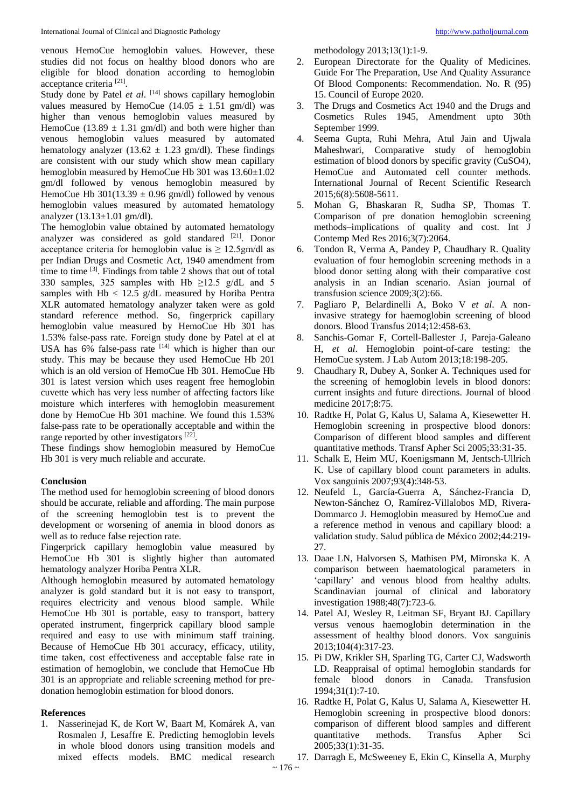venous HemoCue hemoglobin values. However, these studies did not focus on healthy blood donors who are eligible for blood donation according to hemoglobin acceptance criteria<sup>[21]</sup>.

Study done by Patel *et al.* [14] shows capillary hemoglobin values measured by HemoCue  $(14.05 \pm 1.51 \text{ gm/dl})$  was higher than venous hemoglobin values measured by HemoCue (13.89  $\pm$  1.31 gm/dl) and both were higher than venous hemoglobin values measured by automated hematology analyzer (13.62  $\pm$  1.23 gm/dl). These findings are consistent with our study which show mean capillary hemoglobin measured by HemoCue Hb 301 was  $13.60\pm1.02$ gm/dl followed by venous hemoglobin measured by HemoCue Hb  $301(13.39 \pm 0.96 \text{ gm/dl})$  followed by venous hemoglobin values measured by automated hematology analyzer (13.13±1.01 gm/dl).

The hemoglobin value obtained by automated hematology analyzer was considered as gold standared <sup>[21]</sup>. Donor acceptance criteria for hemoglobin value is  $\geq 12.5$ gm/dl as per Indian Drugs and Cosmetic Act, 1940 amendment from time to time <sup>[3]</sup>. Findings from table 2 shows that out of total 330 samples, 325 samples with Hb  $\geq$ 12.5 g/dL and 5 samples with  $Hb < 12.5$  g/dL measured by Horiba Pentra XLR automated hematology analyzer taken were as gold standard reference method. So, fingerprick capillary hemoglobin value measured by HemoCue Hb 301 has 1.53% false-pass rate. Foreign study done by Patel at el at USA has  $6\%$  false-pass rate  $[14]$  which is higher than our study. This may be because they used HemoCue Hb 201 which is an old version of HemoCue Hb 301. HemoCue Hb 301 is latest version which uses reagent free hemoglobin cuvette which has very less number of affecting factors like moisture which interferes with hemoglobin measurement done by HemoCue Hb 301 machine. We found this 1.53% false-pass rate to be operationally acceptable and within the range reported by other investigators [22].

These findings show hemoglobin measured by HemoCue Hb 301 is very much reliable and accurate.

#### **Conclusion**

The method used for hemoglobin screening of blood donors should be accurate, reliable and affording. The main purpose of the screening hemoglobin test is to prevent the development or worsening of anemia in blood donors as well as to reduce false rejection rate.

Fingerprick capillary hemoglobin value measured by HemoCue Hb 301 is slightly higher than automated hematology analyzer Horiba Pentra XLR.

Although hemoglobin measured by automated hematology analyzer is gold standard but it is not easy to transport, requires electricity and venous blood sample. While HemoCue Hb 301 is portable, easy to transport, battery operated instrument, fingerprick capillary blood sample required and easy to use with minimum staff training. Because of HemoCue Hb 301 accuracy, efficacy, utility, time taken, cost effectiveness and acceptable false rate in estimation of hemoglobin, we conclude that HemoCue Hb 301 is an appropriate and reliable screening method for predonation hemoglobin estimation for blood donors.

#### **References**

1. Nasserinejad K, de Kort W, Baart M, Komárek A, van Rosmalen J, Lesaffre E. Predicting hemoglobin levels in whole blood donors using transition models and mixed effects models. BMC medical research methodology 2013;13(1):1-9.

- 2. European Directorate for the Quality of Medicines. Guide For The Preparation, Use And Quality Assurance Of Blood Components: Recommendation. No. R (95) 15. Council of Europe 2020.
- 3. The Drugs and Cosmetics Act 1940 and the Drugs and Cosmetics Rules 1945, Amendment upto 30th September 1999.
- 4. Seema Gupta, Ruhi Mehra, Atul Jain and Ujwala Maheshwari, Comparative study of hemoglobin estimation of blood donors by specific gravity (CuSO4), HemoCue and Automated cell counter methods. International Journal of Recent Scientific Research 2015;6(8):5608-5611.
- 5. Mohan G, Bhaskaran R, Sudha SP, Thomas T. Comparison of pre donation hemoglobin screening methods–implications of quality and cost. Int J Contemp Med Res 2016;3(7):2064.
- 6. Tondon R, Verma A, Pandey P, Chaudhary R. Quality evaluation of four hemoglobin screening methods in a blood donor setting along with their comparative cost analysis in an Indian scenario. Asian journal of transfusion science 2009;3(2):66.
- 7. Pagliaro P, Belardinelli A, Boko V *et al*. A noninvasive strategy for haemoglobin screening of blood donors. Blood Transfus 2014;12:458-63.
- 8. Sanchis-Gomar F, Cortell-Ballester J, Pareja-Galeano H, *et al*. Hemoglobin point-of-care testing: the HemoCue system. J Lab Autom 2013;18:198-205.
- 9. Chaudhary R, Dubey A, Sonker A. Techniques used for the screening of hemoglobin levels in blood donors: current insights and future directions. Journal of blood medicine 2017;8:75.
- 10. Radtke H, Polat G, Kalus U, Salama A, Kiesewetter H. Hemoglobin screening in prospective blood donors: Comparison of different blood samples and different quantitative methods. Transf Apher Sci 2005;33:31-35.
- 11. Schalk E, Heim MU, Koenigsmann M, Jentsch‐Ullrich K. Use of capillary blood count parameters in adults. Vox sanguinis 2007;93(4):348-53.
- 12. Neufeld L, García-Guerra A, Sánchez-Francia D, Newton-Sánchez O, Ramírez-Villalobos MD, Rivera-Dommarco J. Hemoglobin measured by HemoCue and a reference method in venous and capillary blood: a validation study. Salud pública de México 2002;44:219- 27.
- 13. Daae LN, Halvorsen S, Mathisen PM, Mironska K. A comparison between haematological parameters in 'capillary' and venous blood from healthy adults. Scandinavian journal of clinical and laboratory investigation 1988;48(7):723-6.
- 14. Patel AJ, Wesley R, Leitman SF, Bryant BJ. Capillary versus venous haemoglobin determination in the assessment of healthy blood donors. Vox sanguinis 2013;104(4):317-23.
- 15. Pi DW, Krikler SH, Sparling TG, Carter CJ, Wadsworth LD. Reappraisal of optimal hemoglobin standards for female blood donors in Canada. Transfusion 1994;31(1):7-10.
- 16. Radtke H, Polat G, Kalus U, Salama A, Kiesewetter H. Hemoglobin screening in prospective blood donors: comparison of different blood samples and different quantitative methods. Transfus Apher Sci 2005;33(1):31-35.
- 17. Darragh E, McSweeney E, Ekin C, Kinsella A, Murphy